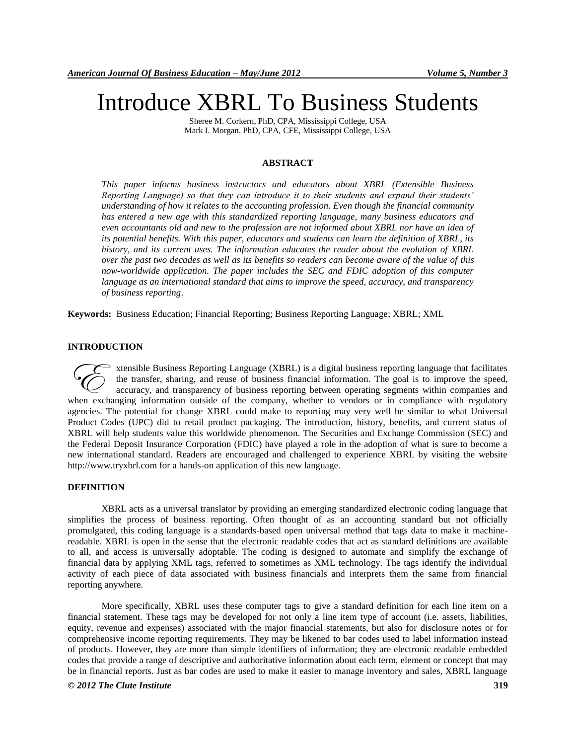# Introduce XBRL To Business Students

Sheree M. Corkern, PhD, CPA, Mississippi College, USA Mark I. Morgan, PhD, CPA, CFE, Mississippi College, USA

## **ABSTRACT**

*This paper informs business instructors and educators about XBRL (Extensible Business Reporting Language) so that they can introduce it to their students and expand their students' understanding of how it relates to the accounting profession. Even though the financial community has entered a new age with this standardized reporting language, many business educators and even accountants old and new to the profession are not informed about XBRL nor have an idea of its potential benefits. With this paper, educators and students can learn the definition of XBRL, its history, and its current uses. The information educates the reader about the evolution of XBRL over the past two decades as well as its benefits so readers can become aware of the value of this now-worldwide application. The paper includes the SEC and FDIC adoption of this computer language as an international standard that aims to improve the speed, accuracy, and transparency of business reporting*.

**Keywords:** Business Education; Financial Reporting; Business Reporting Language; XBRL; XML

# **INTRODUCTION**

 $\geq$  xtensible Business Reporting Language (XBRL) is a digital business reporting language that facilitates the transfer, sharing, and reuse of business financial information. The goal is to improve the speed, accuracy, and transparency of business reporting between operating segments within companies and xtensible Business Reporting Language (XBRL) is a digital business reporting language that facilitates the transfer, sharing, and reuse of business financial information. The goal is to improve the speed, accuracy, and tra agencies. The potential for change XBRL could make to reporting may very well be similar to what Universal Product Codes (UPC) did to retail product packaging. The introduction, history, benefits, and current status of XBRL will help students value this worldwide phenomenon. The Securities and Exchange Commission (SEC) and the Federal Deposit Insurance Corporation (FDIC) have played a role in the adoption of what is sure to become a new international standard. Readers are encouraged and challenged to experience XBRL by visiting the website http://www.tryxbrl.com for a hands-on application of this new language.

## **DEFINITION**

XBRL acts as a universal translator by providing an emerging standardized electronic coding language that simplifies the process of business reporting. Often thought of as an accounting standard but not officially promulgated, this coding language is a standards-based open universal method that tags data to make it machinereadable. XBRL is open in the sense that the electronic readable codes that act as standard definitions are available to all, and access is universally adoptable. The coding is designed to automate and simplify the exchange of financial data by applying XML tags, referred to sometimes as XML technology. The tags identify the individual activity of each piece of data associated with business financials and interprets them the same from financial reporting anywhere.

More specifically, XBRL uses these computer tags to give a standard definition for each line item on a financial statement. These tags may be developed for not only a line item type of account (i.e. assets, liabilities, equity, revenue and expenses) associated with the major financial statements, but also for disclosure notes or for comprehensive income reporting requirements. They may be likened to bar codes used to label information instead of products. However, they are more than simple identifiers of information; they are electronic readable embedded codes that provide a range of descriptive and authoritative information about each term, element or concept that may be in financial reports. Just as bar codes are used to make it easier to manage inventory and sales, XBRL language

#### *© 2012 The Clute Institute* **319**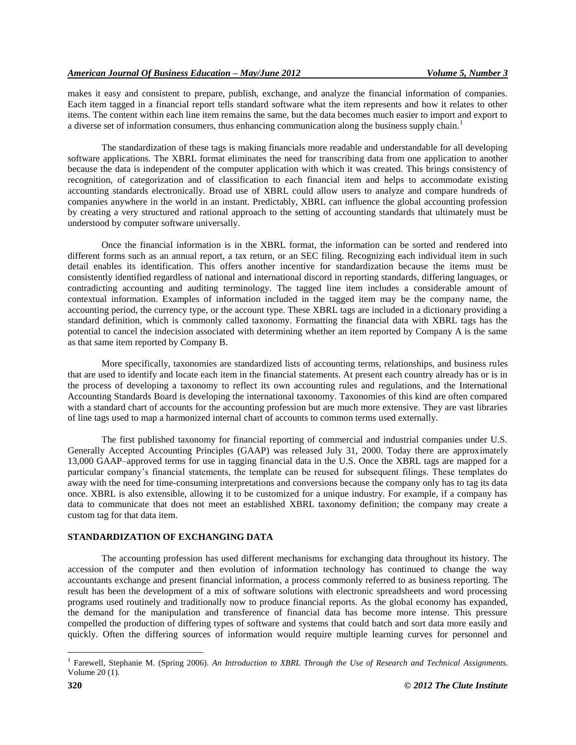makes it easy and consistent to prepare, publish, exchange, and analyze the financial information of companies. Each item tagged in a financial report tells standard software what the item represents and how it relates to other items. The content within each line item remains the same, but the data becomes much easier to import and export to a diverse set of information consumers, thus enhancing communication along the business supply chain.<sup>1</sup>

The standardization of these tags is making financials more readable and understandable for all developing software applications. The XBRL format eliminates the need for transcribing data from one application to another because the data is independent of the computer application with which it was created. This brings consistency of recognition, of categorization and of classification to each financial item and helps to accommodate existing accounting standards electronically. Broad use of XBRL could allow users to analyze and compare hundreds of companies anywhere in the world in an instant. Predictably, XBRL can influence the global accounting profession by creating a very structured and rational approach to the setting of accounting standards that ultimately must be understood by computer software universally.

Once the financial information is in the XBRL format, the information can be sorted and rendered into different forms such as an annual report, a tax return, or an SEC filing. Recognizing each individual item in such detail enables its identification. This offers another incentive for standardization because the items must be consistently identified regardless of national and international discord in reporting standards, differing languages, or contradicting accounting and auditing terminology. The tagged line item includes a considerable amount of contextual information. Examples of information included in the tagged item may be the company name, the accounting period, the currency type, or the account type. These XBRL tags are included in a dictionary providing a standard definition, which is commonly called taxonomy. Formatting the financial data with XBRL tags has the potential to cancel the indecision associated with determining whether an item reported by Company A is the same as that same item reported by Company B.

More specifically, taxonomies are standardized lists of accounting terms, relationships, and business rules that are used to identify and locate each item in the financial statements. At present each country already has or is in the process of developing a taxonomy to reflect its own accounting rules and regulations, and the International Accounting Standards Board is developing the international taxonomy. Taxonomies of this kind are often compared with a standard chart of accounts for the accounting profession but are much more extensive. They are vast libraries of line tags used to map a harmonized internal chart of accounts to common terms used externally.

The first published taxonomy for financial reporting of commercial and industrial companies under U.S. Generally Accepted Accounting Principles (GAAP) was released July 31, 2000. Today there are approximately 13,000 GAAP–approved terms for use in tagging financial data in the U.S. Once the XBRL tags are mapped for a particular company's financial statements, the template can be reused for subsequent filings. These templates do away with the need for time-consuming interpretations and conversions because the company only has to tag its data once. XBRL is also extensible, allowing it to be customized for a unique industry. For example, if a company has data to communicate that does not meet an established XBRL taxonomy definition; the company may create a custom tag for that data item.

#### **STANDARDIZATION OF EXCHANGING DATA**

The accounting profession has used different mechanisms for exchanging data throughout its history. The accession of the computer and then evolution of information technology has continued to change the way accountants exchange and present financial information, a process commonly referred to as business reporting. The result has been the development of a mix of software solutions with electronic spreadsheets and word processing programs used routinely and traditionally now to produce financial reports. As the global economy has expanded, the demand for the manipulation and transference of financial data has become more intense. This pressure compelled the production of differing types of software and systems that could batch and sort data more easily and quickly. Often the differing sources of information would require multiple learning curves for personnel and

 $\overline{a}$ 

<sup>1</sup> Farewell, Stephanie M. (Spring 2006). *An Introduction to XBRL Through the Use of Research and Technical Assignments*. Volume 20 (1).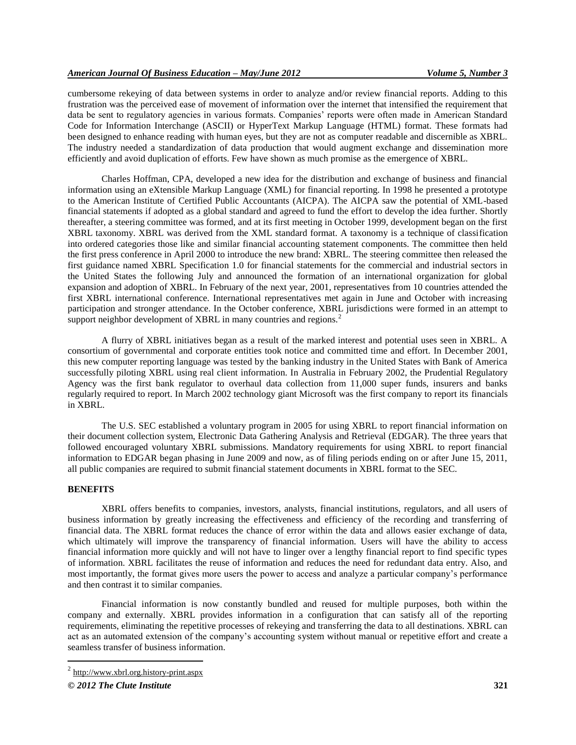cumbersome rekeying of data between systems in order to analyze and/or review financial reports. Adding to this frustration was the perceived ease of movement of information over the internet that intensified the requirement that data be sent to regulatory agencies in various formats. Companies' reports were often made in American Standard Code for Information Interchange (ASCII) or HyperText Markup Language (HTML) format. These formats had been designed to enhance reading with human eyes, but they are not as computer readable and discernible as XBRL. The industry needed a standardization of data production that would augment exchange and dissemination more efficiently and avoid duplication of efforts. Few have shown as much promise as the emergence of XBRL.

Charles Hoffman, CPA, developed a new idea for the distribution and exchange of business and financial information using an eXtensible Markup Language (XML) for financial reporting. In 1998 he presented a prototype to the American Institute of Certified Public Accountants (AICPA). The AICPA saw the potential of XML-based financial statements if adopted as a global standard and agreed to fund the effort to develop the idea further. Shortly thereafter, a steering committee was formed, and at its first meeting in October 1999, development began on the first XBRL taxonomy. XBRL was derived from the XML standard format. A taxonomy is a technique of classification into ordered categories those like and similar financial accounting statement components. The committee then held the first press conference in April 2000 to introduce the new brand: XBRL. The steering committee then released the first guidance named XBRL Specification 1.0 for financial statements for the commercial and industrial sectors in the United States the following July and announced the formation of an international organization for global expansion and adoption of XBRL. In February of the next year, 2001, representatives from 10 countries attended the first XBRL international conference. International representatives met again in June and October with increasing participation and stronger attendance. In the October conference, XBRL jurisdictions were formed in an attempt to support neighbor development of XBRL in many countries and regions.<sup>2</sup>

A flurry of XBRL initiatives began as a result of the marked interest and potential uses seen in XBRL. A consortium of governmental and corporate entities took notice and committed time and effort. In December 2001, this new computer reporting language was tested by the banking industry in the United States with Bank of America successfully piloting XBRL using real client information. In Australia in February 2002, the Prudential Regulatory Agency was the first bank regulator to overhaul data collection from 11,000 super funds, insurers and banks regularly required to report. In March 2002 technology giant Microsoft was the first company to report its financials in XBRL.

The U.S. SEC established a voluntary program in 2005 for using XBRL to report financial information on their document collection system, Electronic Data Gathering Analysis and Retrieval (EDGAR). The three years that followed encouraged voluntary XBRL submissions. Mandatory requirements for using XBRL to report financial information to EDGAR began phasing in June 2009 and now, as of filing periods ending on or after June 15, 2011, all public companies are required to submit financial statement documents in XBRL format to the SEC.

#### **BENEFITS**

 $\overline{a}$ 

XBRL offers benefits to companies, investors, analysts, financial institutions, regulators, and all users of business information by greatly increasing the effectiveness and efficiency of the recording and transferring of financial data. The XBRL format reduces the chance of error within the data and allows easier exchange of data, which ultimately will improve the transparency of financial information. Users will have the ability to access financial information more quickly and will not have to linger over a lengthy financial report to find specific types of information. XBRL facilitates the reuse of information and reduces the need for redundant data entry. Also, and most importantly, the format gives more users the power to access and analyze a particular company's performance and then contrast it to similar companies.

Financial information is now constantly bundled and reused for multiple purposes, both within the company and externally. XBRL provides information in a configuration that can satisfy all of the reporting requirements, eliminating the repetitive processes of rekeying and transferring the data to all destinations. XBRL can act as an automated extension of the company's accounting system without manual or repetitive effort and create a seamless transfer of business information.

 $^{2}$  http://www.xbrl.org.history-print.aspx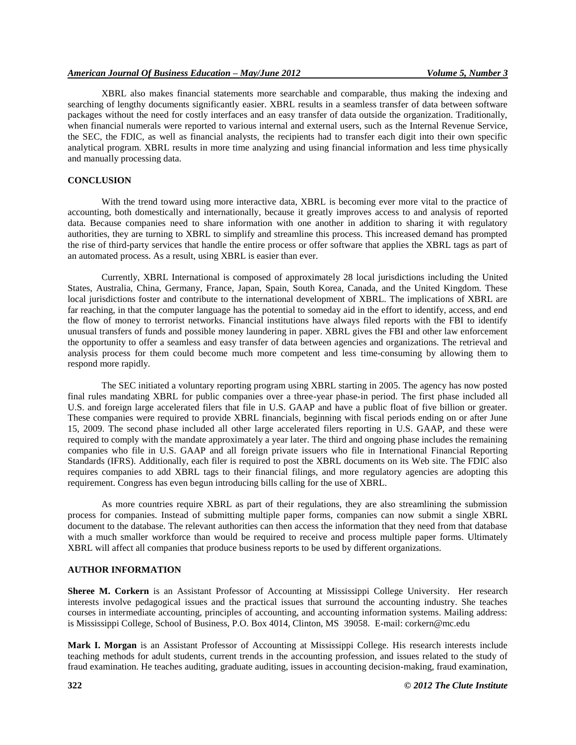XBRL also makes financial statements more searchable and comparable, thus making the indexing and searching of lengthy documents significantly easier. XBRL results in a seamless transfer of data between software packages without the need for costly interfaces and an easy transfer of data outside the organization. Traditionally, when financial numerals were reported to various internal and external users, such as the Internal Revenue Service, the SEC, the FDIC, as well as financial analysts, the recipients had to transfer each digit into their own specific analytical program. XBRL results in more time analyzing and using financial information and less time physically and manually processing data.

#### **CONCLUSION**

With the trend toward using more interactive data, XBRL is becoming ever more vital to the practice of accounting, both domestically and internationally, because it greatly improves access to and analysis of reported data. Because companies need to share information with one another in addition to sharing it with regulatory authorities, they are turning to XBRL to simplify and streamline this process. This increased demand has prompted the rise of third-party services that handle the entire process or offer software that applies the XBRL tags as part of an automated process. As a result, using XBRL is easier than ever.

Currently, XBRL International is composed of approximately 28 local jurisdictions including the United States, Australia, China, Germany, France, Japan, Spain, South Korea, Canada, and the United Kingdom. These local jurisdictions foster and contribute to the international development of XBRL. The implications of XBRL are far reaching, in that the computer language has the potential to someday aid in the effort to identify, access, and end the flow of money to terrorist networks. Financial institutions have always filed reports with the FBI to identify unusual transfers of funds and possible money laundering in paper. XBRL gives the FBI and other law enforcement the opportunity to offer a seamless and easy transfer of data between agencies and organizations. The retrieval and analysis process for them could become much more competent and less time-consuming by allowing them to respond more rapidly.

The SEC initiated a voluntary reporting program using XBRL starting in 2005. The agency has now posted final rules mandating XBRL for public companies over a three-year phase-in period. The first phase included all U.S. and foreign large accelerated filers that file in U.S. GAAP and have a public float of five billion or greater. These companies were required to provide XBRL financials, beginning with fiscal periods ending on or after June 15, 2009. The second phase included all other large accelerated filers reporting in U.S. GAAP, and these were required to comply with the mandate approximately a year later. The third and ongoing phase includes the remaining companies who file in U.S. GAAP and all foreign private issuers who file in International Financial Reporting Standards (IFRS). Additionally, each filer is required to post the XBRL documents on its Web site. The FDIC also requires companies to add XBRL tags to their financial filings, and more regulatory agencies are adopting this requirement. Congress has even begun introducing bills calling for the use of XBRL.

As more countries require XBRL as part of their regulations, they are also streamlining the submission process for companies. Instead of submitting multiple paper forms, companies can now submit a single XBRL document to the database. The relevant authorities can then access the information that they need from that database with a much smaller workforce than would be required to receive and process multiple paper forms. Ultimately XBRL will affect all companies that produce business reports to be used by different organizations.

#### **AUTHOR INFORMATION**

**Sheree M. Corkern** is an Assistant Professor of Accounting at Mississippi College University. Her research interests involve pedagogical issues and the practical issues that surround the accounting industry. She teaches courses in intermediate accounting, principles of accounting, and accounting information systems. Mailing address: is Mississippi College, School of Business, P.O. Box 4014, Clinton, MS 39058. E-mail: corkern@mc.edu

**Mark I. Morgan** is an Assistant Professor of Accounting at Mississippi College. His research interests include teaching methods for adult students, current trends in the accounting profession, and issues related to the study of fraud examination. He teaches auditing, graduate auditing, issues in accounting decision-making, fraud examination,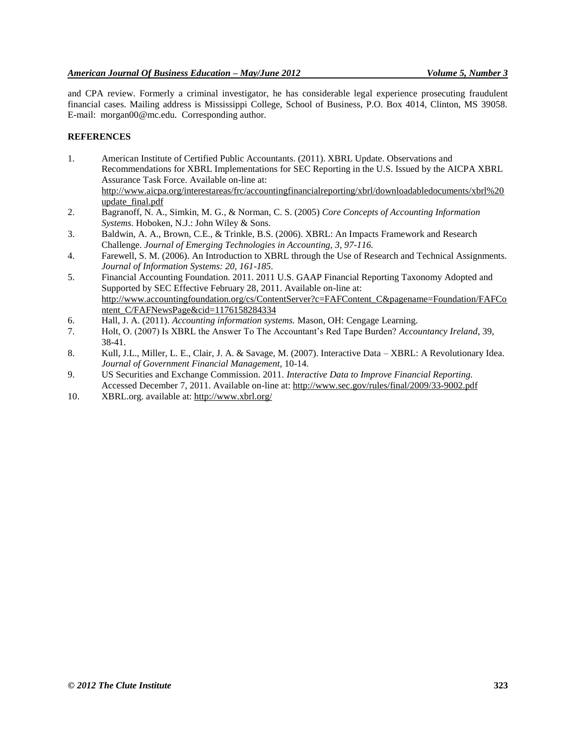and CPA review. Formerly a criminal investigator, he has considerable legal experience prosecuting fraudulent financial cases. Mailing address is Mississippi College, School of Business, P.O. Box 4014, Clinton, MS 39058. E-mail: morgan00@mc.edu. Corresponding author.

#### **REFERENCES**

- 1. American Institute of Certified Public Accountants. (2011). XBRL Update. Observations and Recommendations for XBRL Implementations for SEC Reporting in the U.S. Issued by the AICPA XBRL Assurance Task Force. Available on-line at: [http://www.aicpa.org/interestareas/frc/accountingfinancialreporting/xbrl/downloadabledocuments/xbrl%20](http://www.aicpa.org/interestareas/frc/accountingfinancialreporting/xbrl/downloadabledocuments/xbrl%20update_final.pdf) [update\\_final.pdf](http://www.aicpa.org/interestareas/frc/accountingfinancialreporting/xbrl/downloadabledocuments/xbrl%20update_final.pdf)
- 2. Bagranoff, N. A., Simkin, M. G., & Norman, C. S. (2005) *Core Concepts of Accounting Information Systems*. Hoboken, N.J.: John Wiley & Sons.
- 3. Baldwin, A. A., Brown, C.E., & Trinkle, B.S. (2006). XBRL: An Impacts Framework and Research Challenge. *Journal of Emerging Technologies in Accounting, 3, 97-116.*
- 4. Farewell, S. M. (2006). An Introduction to XBRL through the Use of Research and Technical Assignments. *Journal of Information Systems: 20, 161-185.*
- 5. Financial Accounting Foundation. 2011. 2011 U.S. GAAP Financial Reporting Taxonomy Adopted and Supported by SEC Effective February 28, 2011. Available on-line at: [http://www.accountingfoundation.org/cs/ContentServer?c=FAFContent\\_C&pagename=Foundation/FAFCo](http://www.accountingfoundation.org/cs/ContentServer?c=FAFContent_C&pagename=Foundation/FAFContent_C/FAFNewsPage&cid=1176158284334) [ntent\\_C/FAFNewsPage&cid=1176158284334](http://www.accountingfoundation.org/cs/ContentServer?c=FAFContent_C&pagename=Foundation/FAFContent_C/FAFNewsPage&cid=1176158284334)
- 6. Hall, J. A. (2011). *Accounting information systems.* Mason, OH: Cengage Learning.
- 7. Holt, O. (2007) Is XBRL the Answer To The Accountant's Red Tape Burden? *Accountancy Ireland*, 39, 38-41.
- 8. Kull, J.L., Miller, L. E., Clair, J. A. & Savage, M. (2007). Interactive Data XBRL: A Revolutionary Idea. *Journal of Government Financial Management,* 10-14.
- 9. US Securities and Exchange Commission. 2011. *Interactive Data to Improve Financial Reporting.*  Accessed December 7, 2011. Available on-line at:<http://www.sec.gov/rules/final/2009/33-9002.pdf>
- 10. XBRL.org. available at: http://www.xbrl.org/